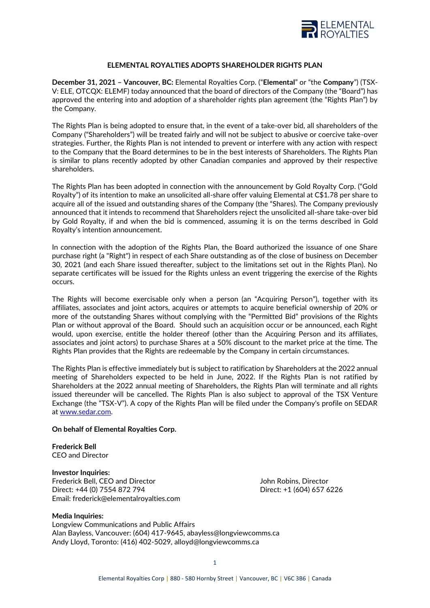

# **ELEMENTAL ROYALTIES ADOPTS SHAREHOLDER RIGHTS PLAN**

**December 31, 2021 – Vancouver, BC:** Elemental Royalties Corp. ("**Elemental**" or "the **Company**") (TSX-V: ELE, OTCQX: ELEMF) today announced that the board of directors of the Company (the "Board") has approved the entering into and adoption of a shareholder rights plan agreement (the "Rights Plan") by the Company.

The Rights Plan is being adopted to ensure that, in the event of a take-over bid, all shareholders of the Company ("Shareholders") will be treated fairly and will not be subject to abusive or coercive take-over strategies. Further, the Rights Plan is not intended to prevent or interfere with any action with respect to the Company that the Board determines to be in the best interests of Shareholders. The Rights Plan is similar to plans recently adopted by other Canadian companies and approved by their respective shareholders.

The Rights Plan has been adopted in connection with the announcement by Gold Royalty Corp. ("Gold Royalty") of its intention to make an unsolicited all-share offer valuing Elemental at C\$1.78 per share to acquire all of the issued and outstanding shares of the Company (the "Shares). The Company previously announced that it intends to recommend that Shareholders reject the unsolicited all-share take-over bid by Gold Royalty, if and when the bid is commenced, assuming it is on the terms described in Gold Royalty's intention announcement.

In connection with the adoption of the Rights Plan, the Board authorized the issuance of one Share purchase right (a "Right") in respect of each Share outstanding as of the close of business on December 30, 2021 (and each Share issued thereafter, subject to the limitations set out in the Rights Plan). No separate certificates will be issued for the Rights unless an event triggering the exercise of the Rights occurs.

The Rights will become exercisable only when a person (an "Acquiring Person"), together with its affiliates, associates and joint actors, acquires or attempts to acquire beneficial ownership of 20% or more of the outstanding Shares without complying with the "Permitted Bid" provisions of the Rights Plan or without approval of the Board. Should such an acquisition occur or be announced, each Right would, upon exercise, entitle the holder thereof (other than the Acquiring Person and its affiliates, associates and joint actors) to purchase Shares at a 50% discount to the market price at the time. The Rights Plan provides that the Rights are redeemable by the Company in certain circumstances.

The Rights Plan is effective immediately but is subject to ratification by Shareholders at the 2022 annual meeting of Shareholders expected to be held in June, 2022. If the Rights Plan is not ratified by Shareholders at the 2022 annual meeting of Shareholders, the Rights Plan will terminate and all rights issued thereunder will be cancelled. The Rights Plan is also subject to approval of the TSX Venture Exchange (the "TSX-V"). A copy of the Rights Plan will be filed under the Company's profile on SEDAR at [www.sedar.com.](http://www.sedar.com/)

### **On behalf of Elemental Royalties Corp.**

**Frederick Bell** CEO and Director

**Investor Inquiries:** Frederick Bell, CEO and Director The Mateur Communication of Bell, CEO and Director John Robins, Director Direct: +44 (0) 7554 872 794 Direct: +1 (604) 657 6226 Email: frederick@elementalroyalties.com

#### **Media Inquiries:**

Longview Communications and Public Affairs Alan Bayless, Vancouver: (604) 417-9645, abayless@longviewcomms.ca Andy Lloyd, Toronto: (416) 402-5029, alloyd@longviewcomms.ca